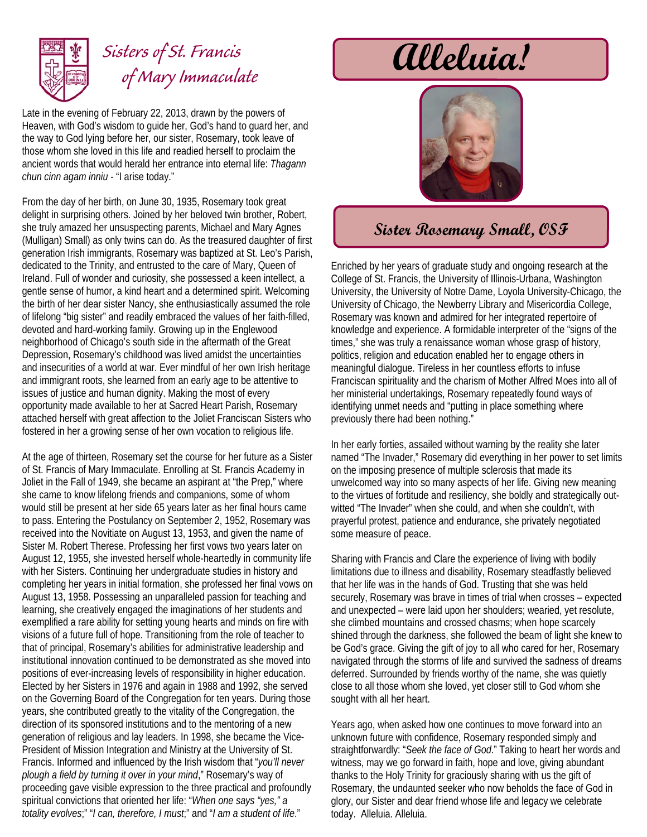

## *of Mary Immaculate*

Late in the evening of February 22, 2013, drawn by the powers of Heaven, with God's wisdom to guide her, God's hand to guard her, and the way to God lying before her, our sister, Rosemary, took leave of those whom she loved in this life and readied herself to proclaim the ancient words that would herald her entrance into eternal life: *Thagann chun cinn agam inniu* - "I arise today."

From the day of her birth, on June 30, 1935, Rosemary took great delight in surprising others. Joined by her beloved twin brother, Robert, she truly amazed her unsuspecting parents, Michael and Mary Agnes (Mulligan) Small) as only twins can do. As the treasured daughter of first generation Irish immigrants, Rosemary was baptized at St. Leo's Parish, dedicated to the Trinity, and entrusted to the care of Mary, Queen of Ireland. Full of wonder and curiosity, she possessed a keen intellect, a gentle sense of humor, a kind heart and a determined spirit. Welcoming the birth of her dear sister Nancy, she enthusiastically assumed the role of lifelong "big sister" and readily embraced the values of her faith-filled, devoted and hard-working family. Growing up in the Englewood neighborhood of Chicago's south side in the aftermath of the Great Depression, Rosemary's childhood was lived amidst the uncertainties and insecurities of a world at war. Ever mindful of her own Irish heritage and immigrant roots, she learned from an early age to be attentive to issues of justice and human dignity. Making the most of every opportunity made available to her at Sacred Heart Parish, Rosemary attached herself with great affection to the Joliet Franciscan Sisters who fostered in her a growing sense of her own vocation to religious life.

At the age of thirteen, Rosemary set the course for her future as a Sister of St. Francis of Mary Immaculate. Enrolling at St. Francis Academy in Joliet in the Fall of 1949, she became an aspirant at "the Prep," where she came to know lifelong friends and companions, some of whom would still be present at her side 65 years later as her final hours came to pass. Entering the Postulancy on September 2, 1952, Rosemary was received into the Novitiate on August 13, 1953, and given the name of Sister M. Robert Therese. Professing her first vows two years later on August 12, 1955, she invested herself whole-heartedly in community life with her Sisters. Continuing her undergraduate studies in history and completing her years in initial formation, she professed her final vows on August 13, 1958. Possessing an unparalleled passion for teaching and learning, she creatively engaged the imaginations of her students and exemplified a rare ability for setting young hearts and minds on fire with visions of a future full of hope. Transitioning from the role of teacher to that of principal, Rosemary's abilities for administrative leadership and institutional innovation continued to be demonstrated as she moved into positions of ever-increasing levels of responsibility in higher education. Elected by her Sisters in 1976 and again in 1988 and 1992, she served on the Governing Board of the Congregation for ten years. During those years, she contributed greatly to the vitality of the Congregation, the direction of its sponsored institutions and to the mentoring of a new generation of religious and lay leaders. In 1998, she became the Vice-President of Mission Integration and Ministry at the University of St. Francis. Informed and influenced by the Irish wisdom that "*you'll never plough a field by turning it over in your mind*," Rosemary's way of proceeding gave visible expression to the three practical and profoundly spiritual convictions that oriented her life: "*When one says "yes," a totality evolves*;" "*I can, therefore, I must*;" and "*I am a student of life*."

## Sisters of St. Francis **alleluia!**



## **Sister Rosemary Small, OSF**

Enriched by her years of graduate study and ongoing research at the College of St. Francis, the University of Illinois-Urbana, Washington University, the University of Notre Dame, Loyola University-Chicago, the University of Chicago, the Newberry Library and Misericordia College, Rosemary was known and admired for her integrated repertoire of knowledge and experience. A formidable interpreter of the "signs of the times," she was truly a renaissance woman whose grasp of history, politics, religion and education enabled her to engage others in meaningful dialogue. Tireless in her countless efforts to infuse Franciscan spirituality and the charism of Mother Alfred Moes into all of her ministerial undertakings, Rosemary repeatedly found ways of identifying unmet needs and "putting in place something where previously there had been nothing."

In her early forties, assailed without warning by the reality she later named "The Invader," Rosemary did everything in her power to set limits on the imposing presence of multiple sclerosis that made its unwelcomed way into so many aspects of her life. Giving new meaning to the virtues of fortitude and resiliency, she boldly and strategically outwitted "The Invader" when she could, and when she couldn't, with prayerful protest, patience and endurance, she privately negotiated some measure of peace.

Sharing with Francis and Clare the experience of living with bodily limitations due to illness and disability, Rosemary steadfastly believed that her life was in the hands of God. Trusting that she was held securely, Rosemary was brave in times of trial when crosses – expected and unexpected – were laid upon her shoulders; wearied, yet resolute, she climbed mountains and crossed chasms; when hope scarcely shined through the darkness, she followed the beam of light she knew to be God's grace. Giving the gift of joy to all who cared for her, Rosemary navigated through the storms of life and survived the sadness of dreams deferred. Surrounded by friends worthy of the name, she was quietly close to all those whom she loved, yet closer still to God whom she sought with all her heart.

Years ago, when asked how one continues to move forward into an unknown future with confidence, Rosemary responded simply and straightforwardly: "*Seek the face of God*." Taking to heart her words and witness, may we go forward in faith, hope and love, giving abundant thanks to the Holy Trinity for graciously sharing with us the gift of Rosemary, the undaunted seeker who now beholds the face of God in glory, our Sister and dear friend whose life and legacy we celebrate today. Alleluia. Alleluia.